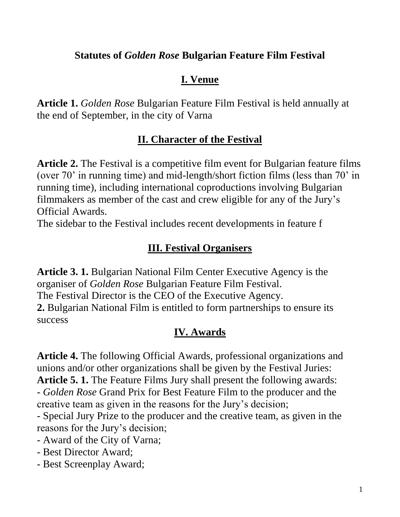#### **Statutes of** *Golden Rose* **Bulgarian Feature Film Festival**

## **I. Venue**

**Article 1.** *Golden Rose* Bulgarian Feature Film Festival is held annually at the end of September, in the city of Varna

## **II. Character of the Festival**

**Article 2.** The Festival is a competitive film event for Bulgarian feature films (over 70' in running time) and mid-length/short fiction films (less than 70' in running time), including international coproductions involving Bulgarian filmmakers as member of the cast and crew eligible for any of the Jury's Official Awards.

The sidebar to the Festival includes recent developments in feature f

## **III. Festival Organisers**

**Article 3. 1.** Bulgarian National Film Center Executive Agency is the organiser of *Golden Rose* Bulgarian Feature Film Festival. The Festival Director is the CEO of the Executive Agency. **2.** Bulgarian National Film is entitled to form partnerships to ensure its success

# **IV. Awards**

**Article 4.** The following Official Awards, professional organizations and unions and/or other organizations shall be given by the Festival Juries: **Article 5. 1.** The Feature Films Jury shall present the following awards:

- *Golden Rose* Grand Prix for Best Feature Film to the producer and the creative team as given in the reasons for the Jury's decision;

- Special Jury Prize to the producer and the creative team, as given in the reasons for the Jury's decision;

- Award of the City of Varna;
- Best Director Award;
- Best Screenplay Award;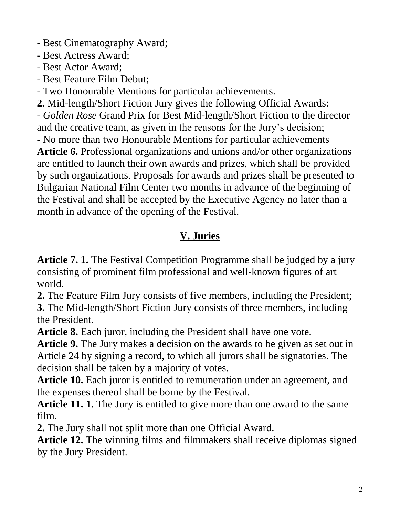- Best Cinematography Award;

- Best Actress Award;

- Best Actor Award;
- Best Feature Film Debut;

- Two Honourable Mentions for particular achievements.

**2.** Mid-length/Short Fiction Jury gives the following Official Awards: - *Golden Rose* Grand Prix for Best Mid-length/Short Fiction to the director and the creative team, as given in the reasons for the Jury's decision; - No more than two Honourable Mentions for particular achievements **Article 6.** Professional organizations and unions and/or other organizations are entitled to launch their own awards and prizes, which shall be provided by such organizations. Proposals for awards and prizes shall be presented to Bulgarian National Film Center two months in advance of the beginning of the Festival and shall be accepted by the Executive Agency no later than a month in advance of the opening of the Festival.

# **V. Juries**

**Article 7. 1.** The Festival Competition Programme shall be judged by a jury consisting of prominent film professional and well-known figures of art world.

**2.** The Feature Film Jury consists of five members, including the President; **3.** The Mid-length/Short Fiction Jury consists of three members, including the President.

**Article 8.** Each juror, including the President shall have one vote.

**Article 9.** The Jury makes a decision on the awards to be given as set out in Article 24 by signing a record, to which all jurors shall be signatories. The decision shall be taken by a majority of votes.

**Article 10.** Each juror is entitled to remuneration under an agreement, and the expenses thereof shall be borne by the Festival.

**Article 11. 1.** The Jury is entitled to give more than one award to the same film.

**2.** The Jury shall not split more than one Official Award.

**Article 12.** The winning films and filmmakers shall receive diplomas signed by the Jury President.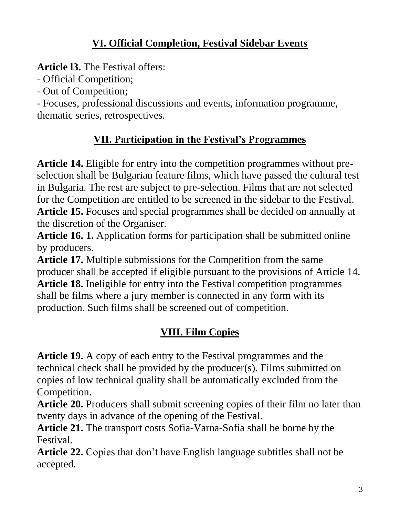## **VI. Official Completion, Festival Sidebar Events**

**Article l3.** The Festival offers:

- Official Competition;

- Out of Competition;

- Focuses, professional discussions and events, information programme, thematic series, retrospectives.

# **VII. Participation in the Festival's Programmes**

**Article 14.** Eligible for entry into the competition programmes without preselection shall be Bulgarian feature films, which have passed the cultural test in Bulgaria. The rest are subject to pre-selection. Films that are not selected for the Competition are entitled to be screened in the sidebar to the Festival. **Article 15.** Focuses and special programmes shall be decided on annually at the discretion of the Organiser.

**Article 16. 1.** Application forms for participation shall be submitted online by producers.

Article 17. Multiple submissions for the Competition from the same producer shall be accepted if eligible pursuant to the provisions of Article 14. **Article 18.** Ineligible for entry into the Festival competition programmes shall be films where a jury member is connected in any form with its production. Such films shall be screened out of competition.

# **VIII. Film Copies**

**Article 19.** A copy of each entry to the Festival programmes and the technical check shall be provided by the producer(s). Films submitted on copies of low technical quality shall be automatically excluded from the Competition.

**Article 20.** Producers shall submit screening copies of their film no later than twenty days in advance of the opening of the Festival.

**Article 21.** The transport costs Sofia-Varna-Sofia shall be borne by the Festival.

**Article 22.** Copies that don't have English language subtitles shall not be accepted.